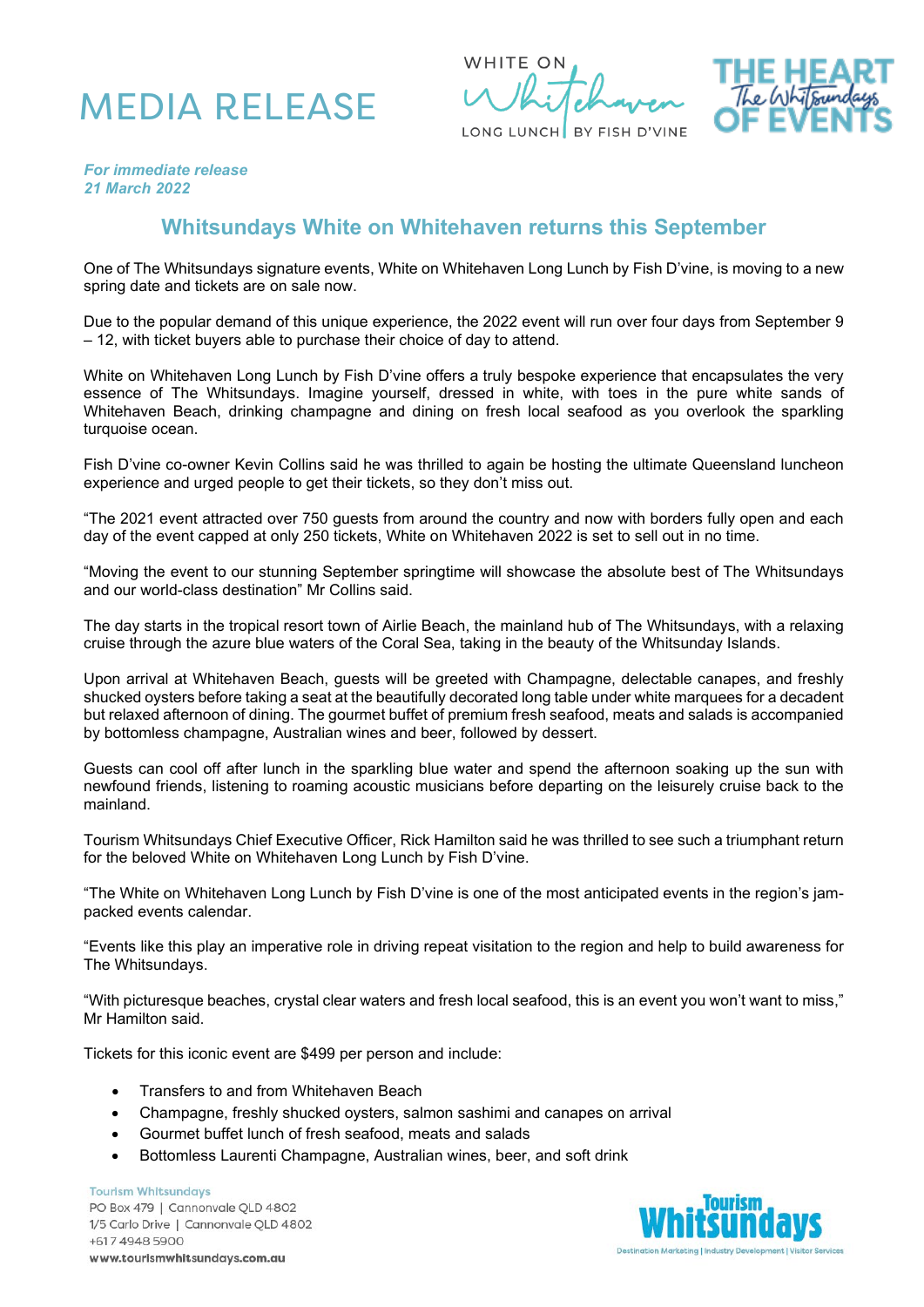





*For immediate release 21 March 2022*

## **Whitsundays White on Whitehaven returns this September**

One of The Whitsundays signature events, White on Whitehaven Long Lunch by Fish D'vine, is moving to a new spring date and tickets are on sale now.

Due to the popular demand of this unique experience, the 2022 event will run over four days from September 9 – 12, with ticket buyers able to purchase their choice of day to attend.

White on Whitehaven Long Lunch by Fish D'vine offers a truly bespoke experience that encapsulates the very essence of The Whitsundays. Imagine yourself, dressed in white, with toes in the pure white sands of Whitehaven Beach, drinking champagne and dining on fresh local seafood as you overlook the sparkling turquoise ocean.

Fish D'vine co-owner Kevin Collins said he was thrilled to again be hosting the ultimate Queensland luncheon experience and urged people to get their tickets, so they don't miss out.

"The 2021 event attracted over 750 guests from around the country and now with borders fully open and each day of the event capped at only 250 tickets, White on Whitehaven 2022 is set to sell out in no time.

"Moving the event to our stunning September springtime will showcase the absolute best of The Whitsundays and our world-class destination" Mr Collins said.

The day starts in the tropical resort town of Airlie Beach, the mainland hub of The Whitsundays, with a relaxing cruise through the azure blue waters of the Coral Sea, taking in the beauty of the Whitsunday Islands.

Upon arrival at Whitehaven Beach, guests will be greeted with Champagne, delectable canapes, and freshly shucked oysters before taking a seat at the beautifully decorated long table under white marquees for a decadent but relaxed afternoon of dining. The gourmet buffet of premium fresh seafood, meats and salads is accompanied by bottomless champagne, Australian wines and beer, followed by dessert.

Guests can cool off after lunch in the sparkling blue water and spend the afternoon soaking up the sun with newfound friends, listening to roaming acoustic musicians before departing on the leisurely cruise back to the mainland.

Tourism Whitsundays Chief Executive Officer, Rick Hamilton said he was thrilled to see such a triumphant return for the beloved White on Whitehaven Long Lunch by Fish D'vine.

"The White on Whitehaven Long Lunch by Fish D'vine is one of the most anticipated events in the region's jampacked events calendar.

"Events like this play an imperative role in driving repeat visitation to the region and help to build awareness for The Whitsundays.

"With picturesque beaches, crystal clear waters and fresh local seafood, this is an event you won't want to miss," Mr Hamilton said.

Tickets for this iconic event are \$499 per person and include:

- Transfers to and from Whitehaven Beach
- Champagne, freshly shucked oysters, salmon sashimi and canapes on arrival
- Gourmet buffet lunch of fresh seafood, meats and salads
- Bottomless Laurenti Champagne, Australian wines, beer, and soft drink

**Tourism Whitsundays** PO Box 479 | Cannonvale QLD 4802 1/5 Carlo Drive | Cannonvale QLD 4802 +617 4948 5900 www.tourismwhitsundays.com.au